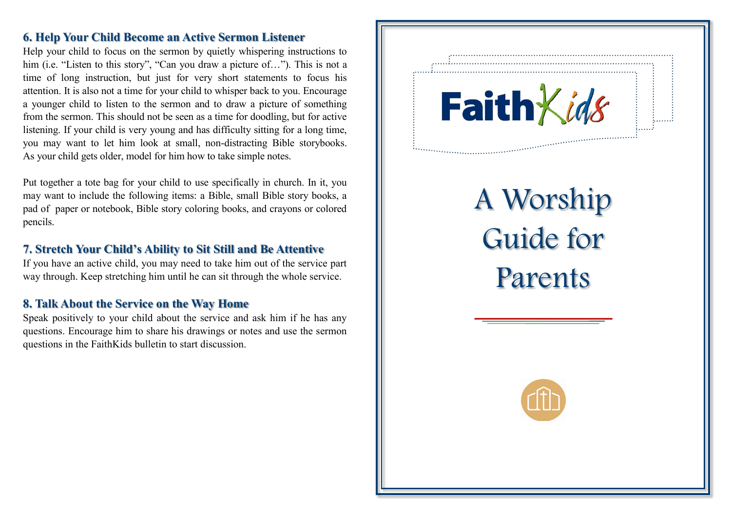# **6. Help Your Child Become an Active Sermon Listener**

Help your child to focus on the sermon by quietly whispering instructions to him (i.e. "Listen to this story", "Can you draw a picture of..."). This is not a time of long instruction, but just for very short statements to focus his attention. It is also not a time for your child to whisper back to you. Encourage a younger child to listen to the sermon and to draw a picture of something from the sermon. This should not be seen as a time for doodling, but for active listening. If your child is very young and has difficulty sitting for a long time, you may want to let him look at small, non-distracting Bible storybooks. As your child gets older, model for him how to take simple notes.

Put together a tote bag for your child to use specifically in church. In it, you may want to include the following items: a Bible, small Bible story books, a pad of paper or notebook, Bible story coloring books, and crayons or colored pencils.

# **7. Stretch Your Child's Ability to Sit Still and Be Attentive**

If you have an active child, you may need to take him out of the service part way through. Keep stretching him until he can sit through the whole service.

# **8. Talk About the Service on the Way Home**

Speak positively to your child about the service and ask him if he has any questions. Encourage him to share his drawings or notes and use the sermon questions in the FaithKids bulletin to start discussion.